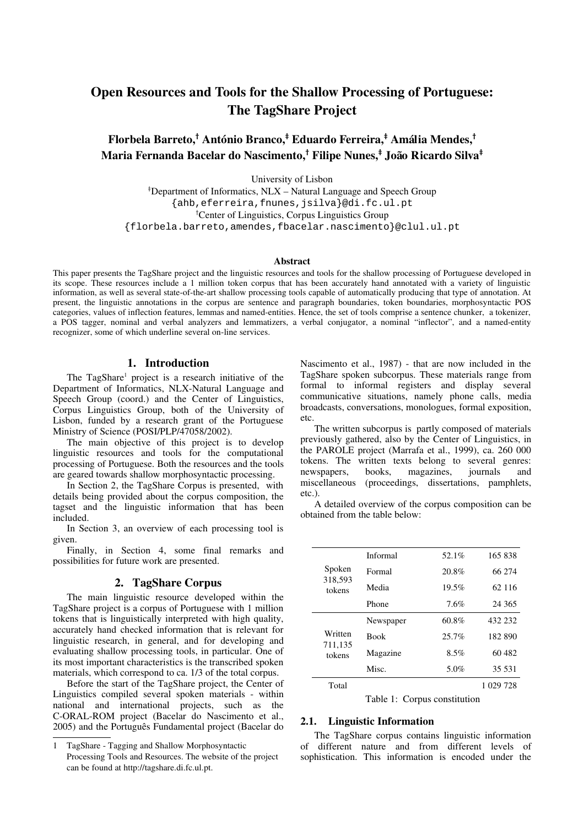# Open Resources and Tools for the Shallow Processing of Portuguese: The TagShare Project

# Florbela Barreto,† António Branco,‡ Eduardo Ferreira,‡ Amália Mendes,† Maria Fernanda Bacelar do Nascimento,† Filipe Nunes,‡ João Ricardo Silva‡

University of Lisbon

Department of Informatics, NLX – Natural Language and Speech Group {ahb,eferreira,fnunes,jsilva}@di.fc.ul.pt Center of Linguistics, Corpus Linguistics Group {florbela.barreto,amendes,fbacelar.nascimento}@clul.ul.pt

#### Abstract

This paper presents the TagShare project and the linguistic resources and tools for the shallow processing of Portuguese developed in its scope. These resources include a 1 million token corpus that has been accurately hand annotated with a variety of linguistic information, as well as several state-of-the-art shallow processing tools capable of automatically producing that type of annotation. At present, the linguistic annotations in the corpus are sentence and paragraph boundaries, token boundaries, morphosyntactic POS categories, values of inflection features, lemmas and named-entities. Hence, the set of tools comprise a sentence chunker, a tokenizer, a POS tagger, nominal and verbal analyzers and lemmatizers, a verbal conjugator, a nominal "inflector", and a namedentity recognizer, some of which underline several on-line services.

#### 1. Introduction

The TagShare<sup>1</sup> project is a research initiative of the Department of Informatics, NLX-Natural Language and Speech Group (coord.) and the Center of Linguistics, Corpus Linguistics Group, both of the University of Lisbon, funded by a research grant of the Portuguese Ministry of Science (POSI/PLP/47058/2002).

The main objective of this project is to develop linguistic resources and tools for the computational processing of Portuguese. Both the resources and the tools are geared towards shallow morphosyntactic processing.

In Section 2, the TagShare Corpus is presented, with details being provided about the corpus composition, the tagset and the linguistic information that has been included.

In Section 3, an overview of each processing tool is given.

Finally, in Section 4, some final remarks and possibilities for future work are presented.

## 2. TagShare Corpus

The main linguistic resource developed within the TagShare project is a corpus of Portuguese with 1 million tokens that is linguistically interpreted with high quality, accurately hand checked information that is relevant for linguistic research, in general, and for developing and evaluating shallow processing tools, in particular. One of its most important characteristics is the transcribed spoken materials, which correspond to ca. 1/3 of the total corpus.

Before the start of the TagShare project, the Center of Linguistics compiled several spoken materials - within national and international projects, such as the C-ORAL-ROM project (Bacelar do Nascimento et al., 2005) and the Português Fundamental project (Bacelar do Nascimento et al., 1987) - that are now included in the TagShare spoken subcorpus. These materials range from formal to informal registers and display several communicative situations, namely phone calls, media broadcasts, conversations, monologues, formal exposition, etc.

The written subcorpus is partly composed of materials previously gathered, also by the Center of Linguistics, in the PAROLE project (Marrafa et al., 1999), ca. 260 000 tokens. The written texts belong to several genres:<br>newspapers, books, magazines, journals and newspapers, books, magazines, journals and miscellaneous (proceedings, dissertations, pamphlets, etc.).

A detailed overview of the corpus composition can be obtained from the table below:

| Spoken<br>318,593<br>tokens  | Informal    | 52.1%   | 165838    |
|------------------------------|-------------|---------|-----------|
|                              | Formal      | 20.8%   | 66 274    |
|                              | Media       | 19.5%   | 62 116    |
|                              | Phone       | 7.6%    | 24 36 5   |
| Written<br>711,135<br>tokens | Newspaper   | 60.8%   | 432 232   |
|                              | <b>Book</b> | 25.7%   | 182890    |
|                              | Magazine    | $8.5\%$ | 60482     |
|                              | Misc.       | 5.0%    | 35 531    |
| Total                        |             |         | 1 029 728 |

Table 1: Corpus constitution

## 2.1. Linguistic Information

The TagShare corpus contains linguistic information of different nature and from different levels of sophistication. This information is encoded under the

TagShare - Tagging and Shallow Morphosyntactic Processing Tools and Resources. The website of the project can be found at http://tagshare.di.fc.ul.pt.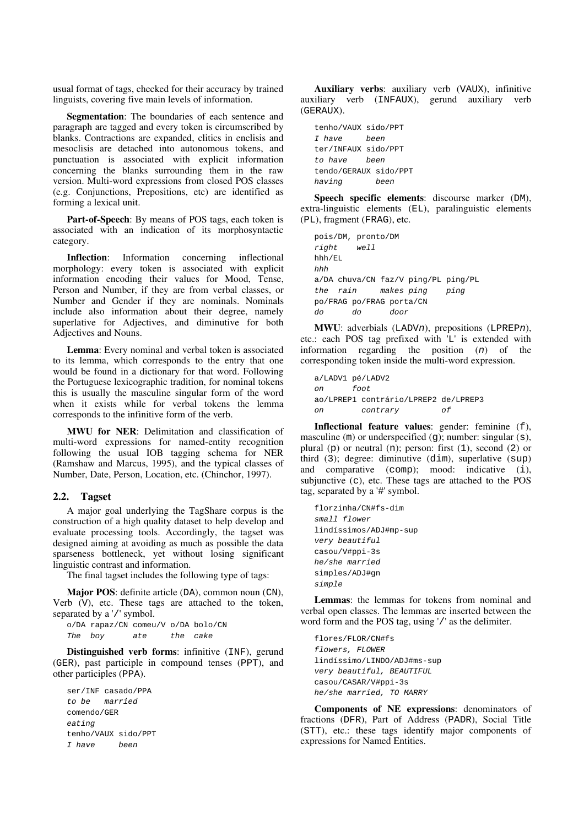usual format of tags, checked for their accuracy by trained linguists, covering five main levels of information.

Segmentation: The boundaries of each sentence and paragraph are tagged and every token is circumscribed by blanks. Contractions are expanded, clitics in enclisis and mesoclisis are detached into autonomous tokens, and punctuation is associated with explicit information concerning the blanks surrounding them in the raw version. Multi-word expressions from closed POS classes (e.g. Conjunctions, Prepositions, etc) are identified as forming a lexical unit.

Part-of-Speech: By means of POS tags, each token is associated with an indication of its morphosyntactic category.

Inflection: Information concerning inflectional morphology: every token is associated with explicit information encoding their values for Mood, Tense, Person and Number, if they are from verbal classes, or Number and Gender if they are nominals. Nominals include also information about their degree, namely superlative for Adjectives, and diminutive for both Adjectives and Nouns.

Lemma: Every nominal and verbal token is associated to its lemma, which corresponds to the entry that one would be found in a dictionary for that word. Following the Portuguese lexicographic tradition, for nominal tokens this is usually the masculine singular form of the word when it exists while for verbal tokens the lemma corresponds to the infinitive form of the verb.

MWU for NER: Delimitation and classification of multi-word expressions for named-entity recognition following the usual IOB tagging schema for NER (Ramshaw and Marcus, 1995), and the typical classes of Number, Date, Person, Location, etc. (Chinchor, 1997).

## 2.2. Tagset

A major goal underlying the TagShare corpus is the construction of a high quality dataset to help develop and evaluate processing tools. Accordingly, the tagset was designed aiming at avoiding as much as possible the data sparseness bottleneck, yet without losing significant linguistic contrast and information.

The final tagset includes the following type of tags:

Major POS: definite article (DA), common noun (CN), Verb (V), etc. These tags are attached to the token, separated by a '/' symbol.

o/DA rapaz/CN comeu/V o/DA bolo/CN The boy ate the cake

Distinguished verb forms: infinitive (INF), gerund (GER), past participle in compound tenses (PPT), and other participles (PPA).

ser/INF casado/PPA to be married comendo/GER eating tenho/VAUX sido/PPT I have been

Auxiliary verbs: auxiliary verb (VAUX), infinitive auxiliary verb (INFAUX), gerund auxiliary verb (GERAUX).

```
tenho/VAUX sido/PPT
I have been
ter/INFAUX sido/PPT
to have been
tendo/GERAUX sido/PPT
having been
```
Speech specific elements: discourse marker (DM), extra-linguistic elements (EL), paralinguistic elements (PL), fragment (FRAG), etc.

```
pois/DM, pronto/DM
right well
hhh/EL
hhh
a/DA chuva/CN faz/V ping/PL ping/PL
the rain makes ping ping
po/FRAG po/FRAG porta/CN
do do door
```
MWU: adverbials (LADVn), prepositions (LPREPn), etc.: each POS tag prefixed with 'L' is extended with information regarding the position  $(n)$  of the corresponding token inside the multi-word expression.

```
a/LADV1 pé/LADV2
on foot
ao/LPREP1 contrário/LPREP2 de/LPREP3
on contrary of
```
Inflectional feature values: gender: feminine (f), masculine (m) or underspecified (q); number: singular (s), plural (p) or neutral (n); person: first  $(1)$ , second  $(2)$  or third (3); degree: diminutive (dim), superlative (sup) and comparative (comp); mood: indicative (i), subjunctive (c), etc. These tags are attached to the POS tag, separated by a '#' symbol.

```
florzinha/CN#fs-dim
small flower
lindíssimos/ADJ#mp-sup
very beautiful
casou/V#ppi-3s
he/she married
simples/ADJ#gn
simple
```
Lemmas: the lemmas for tokens from nominal and verbal open classes. The lemmas are inserted between the word form and the POS tag, using '/' as the delimiter.

flores/FLOR/CN#fs flowers, FLOWER lindíssimo/LINDO/ADJ#ms-sup very beautiful, BEAUTIFUL casou/CASAR/V#ppi-3s he/she married, TO MARRY

Components of NE expressions: denominators of fractions (DFR), Part of Address (PADR), Social Title (STT), etc.: these tags identify major components of expressions for Named Entities.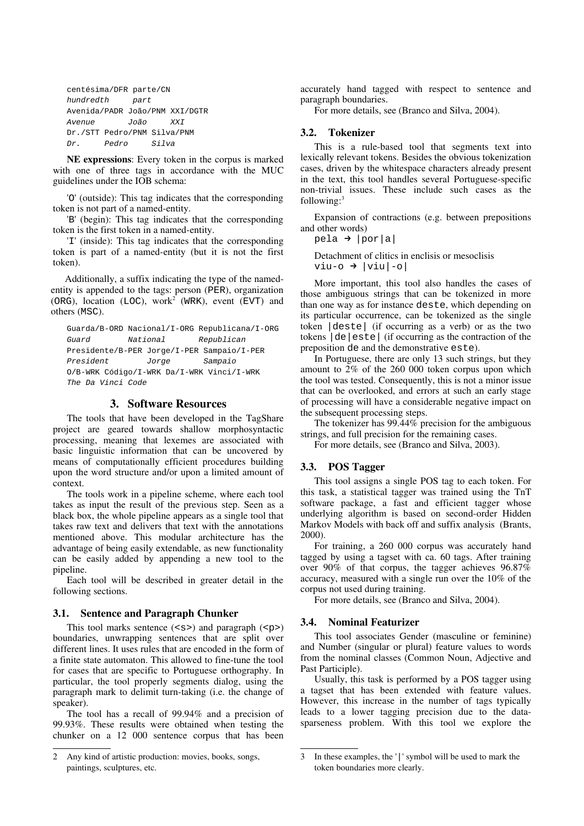| centésima/DFR parte/CN      |       |      |       |                                |
|-----------------------------|-------|------|-------|--------------------------------|
| hundredth                   |       | part |       |                                |
|                             |       |      |       | Avenida/PADR João/PNM XXI/DGTR |
| Avenue                      |       | João |       | XXT                            |
| Dr./STT Pedro/PNM Silva/PNM |       |      |       |                                |
| Dr.                         | Pedro |      | Silva |                                |

NE expressions: Every token in the corpus is marked with one of three tags in accordance with the MUC guidelines under the IOB schema:

'O' (outside): This tag indicates that the corresponding token is not part of a named-entity.

'B' (begin): This tag indicates that the corresponding token is the first token in a named-entity.

'I' (inside): This tag indicates that the corresponding token is part of a named-entity (but it is not the first token).

Additionally, a suffix indicating the type of the namedentity is appended to the tags: person (PER), organization (ORG), location (LOC), work<sup>2</sup> (WRK), event (EVT) and others (MSC).

```
Guarda/B-ORD Nacional/I-ORG Republicana/I-ORG
Guard National Republican
Presidente/B-PER Jorge/I-PER Sampaio/I-PER
President Jorge Sampaio
O/B-WRK Código/I-WRK Da/I-WRK Vinci/I-WRK
The Da Vinci Code
```
# 3. Software Resources

The tools that have been developed in the TagShare project are geared towards shallow morphosyntactic processing, meaning that lexemes are associated with basic linguistic information that can be uncovered by means of computationally efficient procedures building upon the word structure and/or upon a limited amount of context.

The tools work in a pipeline scheme, where each tool takes as input the result of the previous step. Seen as a black box, the whole pipeline appears as a single tool that takes raw text and delivers that text with the annotations mentioned above. This modular architecture has the advantage of being easily extendable, as new functionality can be easily added by appending a new tool to the pipeline.

Each tool will be described in greater detail in the following sections.

#### 3.1. Sentence and Paragraph Chunker

This tool marks sentence  $(\leq s$ ) and paragraph  $(\leq p$ ) boundaries, unwrapping sentences that are split over different lines. It uses rules that are encoded in the form of a finite state automaton. This allowed to fine-tune the tool for cases that are specific to Portuguese orthography. In particular, the tool properly segments dialog, using the paragraph mark to delimit turn-taking (i.e. the change of speaker).

The tool has a recall of 99.94% and a precision of 99.93%. These results were obtained when testing the chunker on a 12 000 sentence corpus that has been accurately hand tagged with respect to sentence and paragraph boundaries.

For more details, see (Branco and Silva, 2004).

#### 3.2. Tokenizer

This is a rule-based tool that segments text into lexically relevant tokens. Besides the obvious tokenization cases, driven by the whitespace characters already present in the text, this tool handles several Portuguese-specific non-trivial issues. These include such cases as the following:<sup>3</sup>

Expansion of contractions (e.g. between prepositions and other words)

 $pela \rightarrow |por|a|$ 

Detachment of clitics in enclisis or mesoclisis  $viu-o \rightarrow |viu|-o|$ 

More important, this tool also handles the cases of those ambiguous strings that can be tokenized in more than one way as for instance deste, which depending on its particular occurrence, can be tokenized as the single token |deste| (if occurring as a verb) or as the two tokens |de|este| (if occurring as the contraction of the preposition de and the demonstrative este).

In Portuguese, there are only 13 such strings, but they amount to 2% of the 260 000 token corpus upon which the tool was tested. Consequently, this is not a minor issue that can be overlooked, and errors at such an early stage of processing will have a considerable negative impact on the subsequent processing steps.

The tokenizer has 99.44% precision for the ambiguous strings, and full precision for the remaining cases.

For more details, see (Branco and Silva, 2003).

## 3.3. POS Tagger

This tool assigns a single POS tag to each token. For this task, a statistical tagger was trained using the TnT software package, a fast and efficient tagger whose underlying algorithm is based on second-order Hidden Markov Models with back off and suffix analysis (Brants, 2000).

For training, a 260 000 corpus was accurately hand tagged by using a tagset with ca. 60 tags. After training over 90% of that corpus, the tagger achieves 96.87% accuracy, measured with a single run over the 10% of the corpus not used during training.

For more details, see (Branco and Silva, 2004).

#### 3.4. Nominal Featurizer

This tool associates Gender (masculine or feminine) and Number (singular or plural) feature values to words from the nominal classes (Common Noun, Adjective and Past Participle).

Usually, this task is performed by a POS tagger using a tagset that has been extended with feature values. However, this increase in the number of tags typically leads to a lower tagging precision due to the datasparseness problem. With this tool we explore the

Any kind of artistic production: movies, books, songs, paintings, sculptures, etc.

<sup>3</sup> In these examples, the '|' symbol will be used to mark the token boundaries more clearly.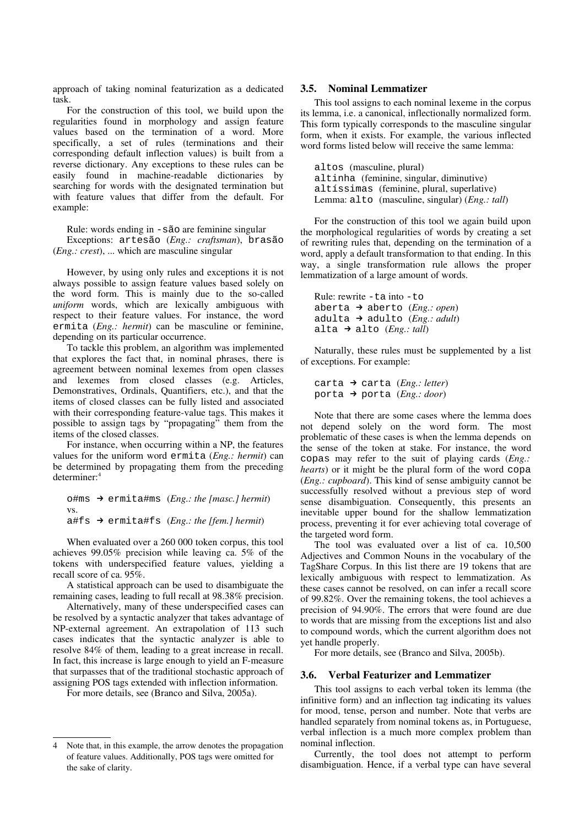approach of taking nominal featurization as a dedicated task.

For the construction of this tool, we build upon the regularities found in morphology and assign feature values based on the termination of a word. More specifically, a set of rules (terminations and their corresponding default inflection values) is built from a reverse dictionary. Any exceptions to these rules can be easily found in machine-readable dictionaries by searching for words with the designated termination but with feature values that differ from the default. For example:

Rule: words ending in -são are feminine singular Exceptions: artesão (*Eng.: craftsman*), brasão (*Eng.: crest*), ... which are masculine singular

However, by using only rules and exceptions it is not always possible to assign feature values based solely on the word form. This is mainly due to the so-called *uniform* words, which are lexically ambiguous with respect to their feature values. For instance, the word ermita (*Eng.: hermit*) can be masculine or feminine, depending on its particular occurrence.

To tackle this problem, an algorithm was implemented that explores the fact that, in nominal phrases, there is agreement between nominal lexemes from open classes and lexemes from closed classes (e.g. Articles, Demonstratives, Ordinals, Quantifiers, etc.), and that the items of closed classes can be fully listed and associated with their corresponding feature-value tags. This makes it possible to assign tags by "propagating" them from the items of the closed classes.

For instance, when occurring within a NP, the features values for the uniform word ermita (*Eng.: hermit*) can be determined by propagating them from the preceding determiner: 4

o#ms → ermita#ms (*Eng.: the [masc.] hermit*) vs. a#fs → ermita#fs (*Eng.: the [fem.] hermit*)

When evaluated over a 260 000 token corpus, this tool achieves 99.05% precision while leaving ca. 5% of the tokens with underspecified feature values, yielding a recall score of ca. 95%.

A statistical approach can be used to disambiguate the remaining cases, leading to full recall at 98.38% precision.

Alternatively, many of these underspecified cases can be resolved by a syntactic analyzer that takes advantage of NPexternal agreement. An extrapolation of 113 such cases indicates that the syntactic analyzer is able to resolve 84% of them, leading to a great increase in recall. In fact, this increase is large enough to yield an F-measure that surpasses that of the traditional stochastic approach of assigning POS tags extended with inflection information.

For more details, see (Branco and Silva, 2005a).

#### 3.5. Nominal Lemmatizer

This tool assigns to each nominal lexeme in the corpus its lemma, i.e. a canonical, inflectionally normalized form. This form typically corresponds to the masculine singular form, when it exists. For example, the various inflected word forms listed below will receive the same lemma:

altos (masculine, plural) altinha (feminine, singular, diminutive) altíssimas (feminine, plural, superlative) Lemma: alto (masculine, singular) (*Eng.: tall*)

For the construction of this tool we again build upon the morphological regularities of words by creating a set of rewriting rules that, depending on the termination of a word, apply a default transformation to that ending. In this way, a single transformation rule allows the proper lemmatization of a large amount of words.

Rule: rewrite -ta into -to aberta → aberto (*Eng.: open*) adulta → adulto (*Eng.: adult*) alta → alto (*Eng.: tall*)

Naturally, these rules must be supplemented by a list of exceptions. For example:

carta → carta (*Eng.: letter*) porta → porta (*Eng.: door*)

Note that there are some cases where the lemma does not depend solely on the word form. The most problematic of these cases is when the lemma depends on the sense of the token at stake. For instance, the word copas may refer to the suit of playing cards (*Eng.: hearts*) or it might be the plural form of the word copa (*Eng.: cupboard*). This kind of sense ambiguity cannot be successfully resolved without a previous step of word sense disambiguation. Consequently, this presents an inevitable upper bound for the shallow lemmatization process, preventing it for ever achieving total coverage of the targeted word form.

The tool was evaluated over a list of ca. 10,500 Adjectives and Common Nouns in the vocabulary of the TagShare Corpus. In this list there are 19 tokens that are lexically ambiguous with respect to lemmatization. As these cases cannot be resolved, on can infer a recall score of 99.82%. Over the remaining tokens, the tool achieves a precision of 94.90%. The errors that were found are due to words that are missing from the exceptions list and also to compound words, which the current algorithm does not yet handle properly.

For more details, see (Branco and Silva, 2005b).

#### 3.6. Verbal Featurizer and Lemmatizer

This tool assigns to each verbal token its lemma (the infinitive form) and an inflection tag indicating its values for mood, tense, person and number. Note that verbs are handled separately from nominal tokens as, in Portuguese, verbal inflection is a much more complex problem than nominal inflection.

Currently, the tool does not attempt to perform disambiguation. Hence, if a verbal type can have several

Note that, in this example, the arrow denotes the propagation of feature values. Additionally, POS tags were omitted for the sake of clarity.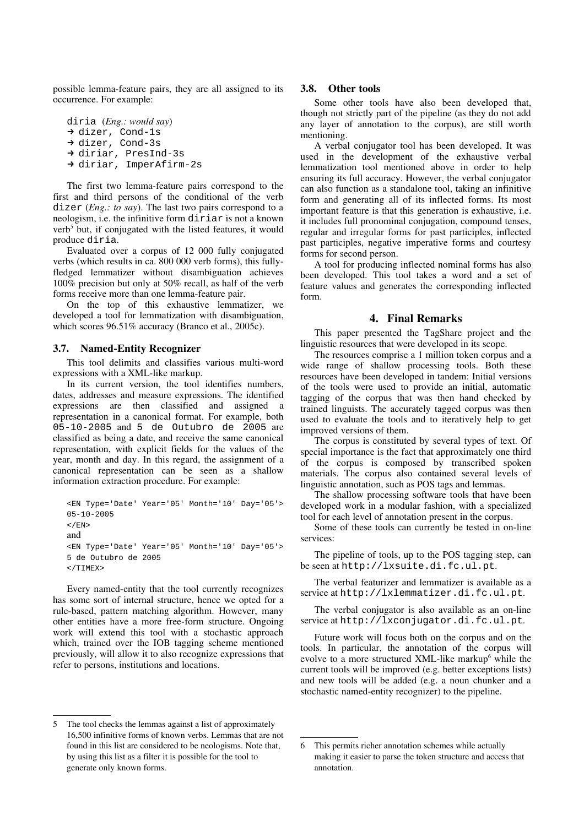possible lemma-feature pairs, they are all assigned to its occurrence. For example:

diria (*Eng.: would say*) → dizer, Cond-1s → dizer, Cond-3s → diriar, PresInd-3s → diriar, ImperAfirm-2s

The first two lemma-feature pairs correspond to the first and third persons of the conditional of the verb dizer (*Eng.: to say*). The last two pairs correspond to a neologism, i.e. the infinitive form diriar is not a known verb 5 but, if conjugated with the listed features, it would produce diria.

Evaluated over a corpus of 12 000 fully conjugated verbs (which results in ca. 800 000 verb forms), this fullyfledged lemmatizer without disambiguation achieves 100% precision but only at 50% recall, as half of the verb forms receive more than one lemma-feature pair.

On the top of this exhaustive lemmatizer, we developed a tool for lemmatization with disambiguation, which scores 96.51% accuracy (Branco et al., 2005c).

# 3.7. Named-Entity Recognizer

This tool delimits and classifies various multi-word expressions with a XML-like markup.

In its current version, the tool identifies numbers, dates, addresses and measure expressions. The identified expressions are then classified and assigned a representation in a canonical format. For example, both 05-10-2005 and 5 de Outubro de 2005 are classified as being a date, and receive the same canonical representation, with explicit fields for the values of the year, month and day. In this regard, the assignment of a canonical representation can be seen as a shallow information extraction procedure. For example:

```
<EN Type='Date' Year='05' Month='10' Day='05'>
05-10-2005
\epsilon/EN<sub>></sub>
and
<EN Type='Date' Year='05' Month='10' Day='05'>
5 de Outubro de 2005
\epsilon/TIMEX>
```
Every named-entity that the tool currently recognizes has some sort of internal structure, hence we opted for a rule-based, pattern matching algorithm. However, many other entities have a more free-form structure. Ongoing work will extend this tool with a stochastic approach which, trained over the IOB tagging scheme mentioned previously, will allow it to also recognize expressions that refer to persons, institutions and locations.

# 3.8. Other tools

Some other tools have also been developed that, though not strictly part of the pipeline (as they do not add any layer of annotation to the corpus), are still worth mentioning.

A verbal conjugator tool has been developed. It was used in the development of the exhaustive verbal lemmatization tool mentioned above in order to help ensuring its full accuracy. However, the verbal conjugator can also function as a standalone tool, taking an infinitive form and generating all of its inflected forms. Its most important feature is that this generation is exhaustive, i.e. it includes full pronominal conjugation, compound tenses, regular and irregular forms for past participles, inflected past participles, negative imperative forms and courtesy forms for second person.

A tool for producing inflected nominal forms has also been developed. This tool takes a word and a set of feature values and generates the corresponding inflected form.

# 4. Final Remarks

This paper presented the TagShare project and the linguistic resources that were developed in its scope.

The resources comprise a 1 million token corpus and a wide range of shallow processing tools. Both these resources have been developed in tandem: Initial versions of the tools were used to provide an initial, automatic tagging of the corpus that was then hand checked by trained linguists. The accurately tagged corpus was then used to evaluate the tools and to iteratively help to get improved versions of them.

The corpus is constituted by several types of text. Of special importance is the fact that approximately one third of the corpus is composed by transcribed spoken materials. The corpus also contained several levels of linguistic annotation, such as POS tags and lemmas.

The shallow processing software tools that have been developed work in a modular fashion, with a specialized tool for each level of annotation present in the corpus.

Some of these tools can currently be tested in on-line services:

The pipeline of tools, up to the POS tagging step, can be seen at http://lxsuite.di.fc.ul.pt.

The verbal featurizer and lemmatizer is available as a service at http://lxlemmatizer.di.fc.ul.pt.

The verbal conjugator is also available as an on-line service at http://lxconjugator.di.fc.ul.pt.

Future work will focus both on the corpus and on the tools. In particular, the annotation of the corpus will evolve to a more structured XML-like markup<sup>6</sup> while the current tools will be improved (e.g. better exceptions lists) and new tools will be added (e.g. a noun chunker and a stochastic named-entity recognizer) to the pipeline.

<sup>5</sup> The tool checks the lemmas against a list of approximately 16,500 infinitive forms of known verbs. Lemmas that are not found in this list are considered to be neologisms. Note that, by using this list as a filter it is possible for the tool to generate only known forms.

This permits richer annotation schemes while actually making it easier to parse the token structure and access that annotation.